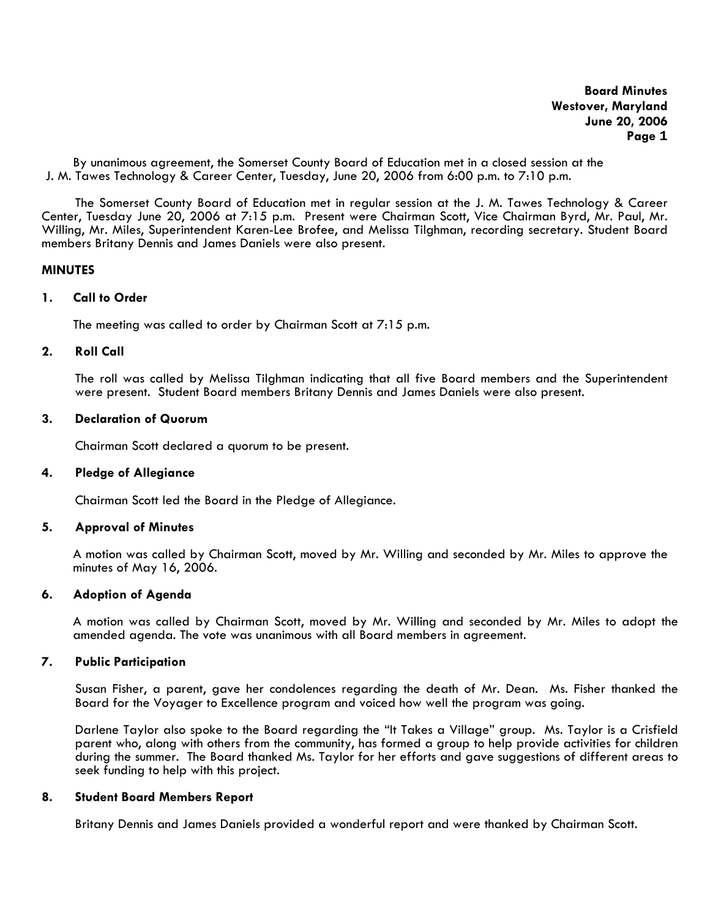By unanimous agreement, the Somerset County Board of Education met in a closed session at the J. M. Tawes Technology & Career Center, Tuesday, June 20, 2006 from 6:00 p.m. to 7:10 p.m.

The Somerset County Board of Education met in regular session at the J. M. Tawes Technology & Career Center, Tuesday June 20, 2006 at 7:15 p.m. Present were Chairman Scott, Vice Chairman Byrd, Mr. Paul, Mr. Willing, Mr. Miles, Superintendent Karen-Lee Brofee, and Melissa Tilghman, recording secretary. Student Board members Britany Dennis and James Daniels were also present.

### **MINUTES**

### **1. Call to Order**

The meeting was called to order by Chairman Scott at 7:15 p.m.

# **2. Roll Call**

The roll was called by Melissa Tilghman indicating that all five Board members and the Superintendent were present. Student Board members Britany Dennis and James Daniels were also present.

### **3. Declaration of Quorum**

Chairman Scott declared a quorum to be present.

# **4. Pledge of Allegiance**

Chairman Scott led the Board in the Pledge of Allegiance.

### **5. Approval of Minutes**

 A motion was called by Chairman Scott, moved by Mr. Willing and seconded by Mr. Miles to approve the minutes of May 16, 2006.

### **6. Adoption of Agenda**

A motion was called by Chairman Scott, moved by Mr. Willing and seconded by Mr. Miles to adopt the amended agenda. The vote was unanimous with all Board members in agreement.

# **7. Public Participation**

Susan Fisher, a parent, gave her condolences regarding the death of Mr. Dean. Ms. Fisher thanked the Board for the Voyager to Excellence program and voiced how well the program was going.

Darlene Taylor also spoke to the Board regarding the "It Takes a Village" group. Ms. Taylor is a Crisfield parent who, along with others from the community, has formed a group to help provide activities for children during the summer. The Board thanked Ms. Taylor for her efforts and gave suggestions of different areas to seek funding to help with this project.

### **8. Student Board Members Report**

Britany Dennis and James Daniels provided a wonderful report and were thanked by Chairman Scott.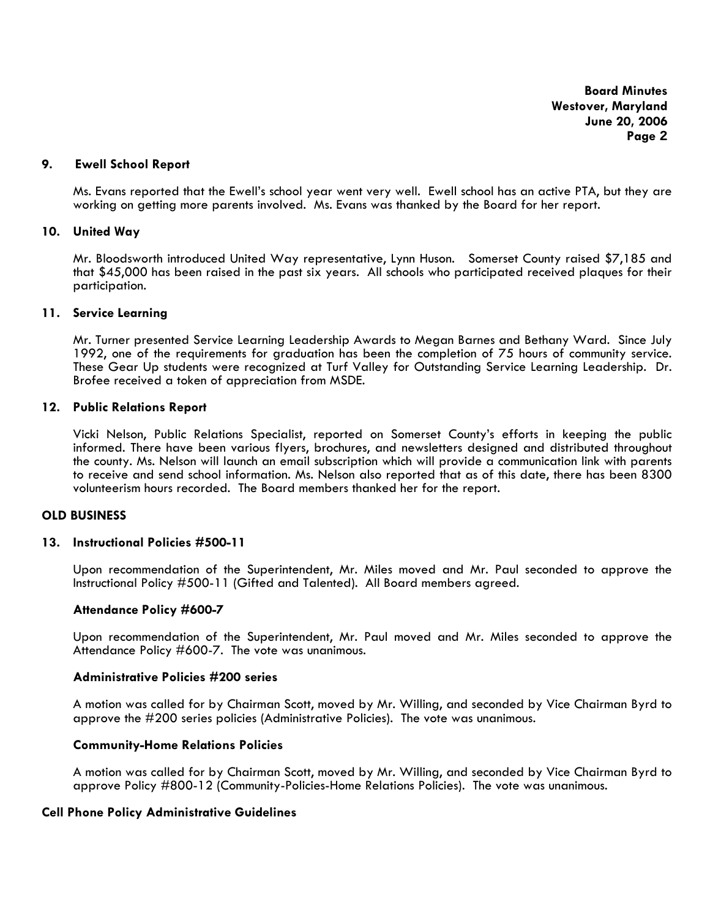# **9. Ewell School Report**

Ms. Evans reported that the Ewell's school year went very well. Ewell school has an active PTA, but they are working on getting more parents involved. Ms. Evans was thanked by the Board for her report.

# **10. United Way**

Mr. Bloodsworth introduced United Way representative, Lynn Huson. Somerset County raised \$7,185 and that \$45,000 has been raised in the past six years. All schools who participated received plaques for their participation.

### **11. Service Learning**

Mr. Turner presented Service Learning Leadership Awards to Megan Barnes and Bethany Ward. Since July 1992, one of the requirements for graduation has been the completion of 75 hours of community service. These Gear Up students were recognized at Turf Valley for Outstanding Service Learning Leadership. Dr. Brofee received a token of appreciation from MSDE.

### **12. Public Relations Report**

Vicki Nelson, Public Relations Specialist, reported on Somerset County's efforts in keeping the public informed. There have been various flyers, brochures, and newsletters designed and distributed throughout the county. Ms. Nelson will launch an email subscription which will provide a communication link with parents to receive and send school information. Ms. Nelson also reported that as of this date, there has been 8300 volunteerism hours recorded. The Board members thanked her for the report.

# **OLD BUSINESS**

### **13. Instructional Policies #500-11**

Upon recommendation of the Superintendent, Mr. Miles moved and Mr. Paul seconded to approve the Instructional Policy #500-11 (Gifted and Talented).All Board members agreed.

# **Attendance Policy #600-7**

Upon recommendation of the Superintendent, Mr. Paul moved and Mr. Miles seconded to approve the Attendance Policy #600-7. The vote was unanimous.

# **Administrative Policies #200 series**

A motion was called for by Chairman Scott, moved by Mr. Willing, and seconded by Vice Chairman Byrd to approve the #200 series policies (Administrative Policies). The vote was unanimous.

# **Community-Home Relations Policies**

A motion was called for by Chairman Scott, moved by Mr. Willing, and seconded by Vice Chairman Byrd to approve Policy #800-12 (Community-Policies-Home Relations Policies). The vote was unanimous.

# **Cell Phone Policy Administrative Guidelines**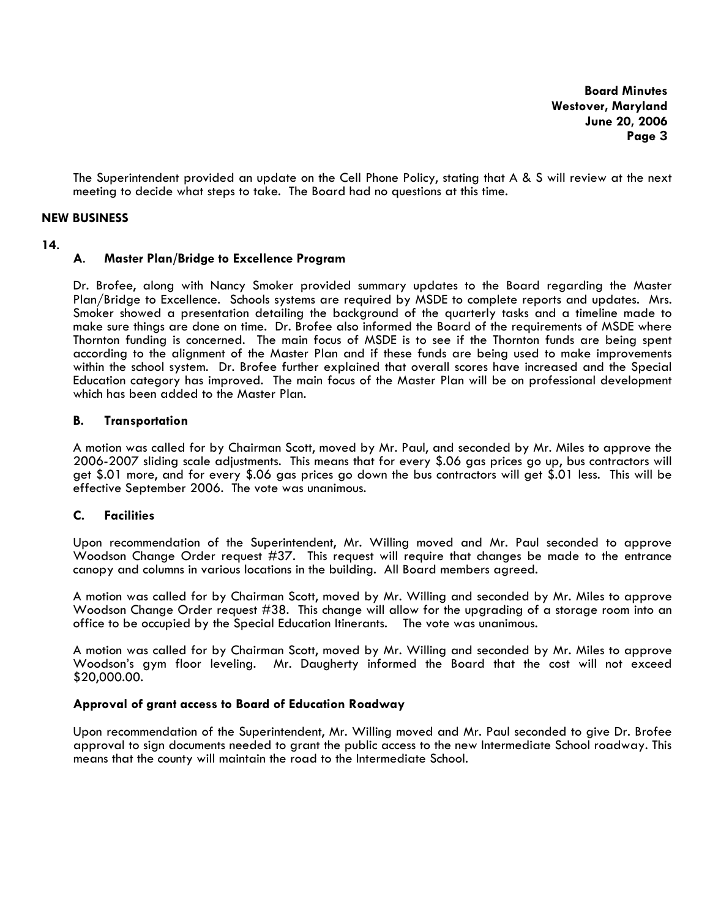The Superintendent provided an update on the Cell Phone Policy, stating that A & S will review at the next meeting to decide what steps to take. The Board had no questions at this time.

# **NEW BUSINESS**

# **<sup>14</sup>**. **A**. **Master Plan/Bridge to Excellence Program**

Dr. Brofee, along with Nancy Smoker provided summary updates to the Board regarding the Master Plan/Bridge to Excellence. Schools systems are required by MSDE to complete reports and updates. Mrs. Smoker showed a presentation detailing the background of the quarterly tasks and a timeline made to make sure things are done on time. Dr. Brofee also informed the Board of the requirements of MSDE where Thornton funding is concerned. The main focus of MSDE is to see if the Thornton funds are being spent according to the alignment of the Master Plan and if these funds are being used to make improvements within the school system. Dr. Brofee further explained that overall scores have increased and the Special Education category has improved. The main focus of the Master Plan will be on professional development which has been added to the Master Plan.

# **B. Transportation**

 A motion was called for by Chairman Scott, moved by Mr. Paul, and seconded by Mr. Miles to approve the 2006-2007 sliding scale adjustments. This means that for every \$.06 gas prices go up, bus contractors will get \$.01 more, and for every \$.06 gas prices go down the bus contractors will get \$.01 less. This will be effective September 2006. The vote was unanimous.

# **C. Facilities**

 Upon recommendation of the Superintendent, Mr. Willing moved and Mr. Paul seconded to approve Woodson Change Order request #37. This request will require that changes be made to the entrance canopy and columns in various locations in the building. All Board members agreed.

 A motion was called for by Chairman Scott, moved by Mr. Willing and seconded by Mr. Miles to approve Woodson Change Order request #38. This change will allow for the upgrading of a storage room into an office to be occupied by the Special Education Itinerants. The vote was unanimous.

 A motion was called for by Chairman Scott, moved by Mr. Willing and seconded by Mr. Miles to approve Woodson's gym floor leveling. Mr. Daugherty informed the Board that the cost will not exceed \$20,000.00.

# **Approval of grant access to Board of Education Roadway**

 Upon recommendation of the Superintendent, Mr. Willing moved and Mr. Paul seconded to give Dr. Brofee approval to sign documents needed to grant the public access to the new Intermediate School roadway. This means that the county will maintain the road to the Intermediate School.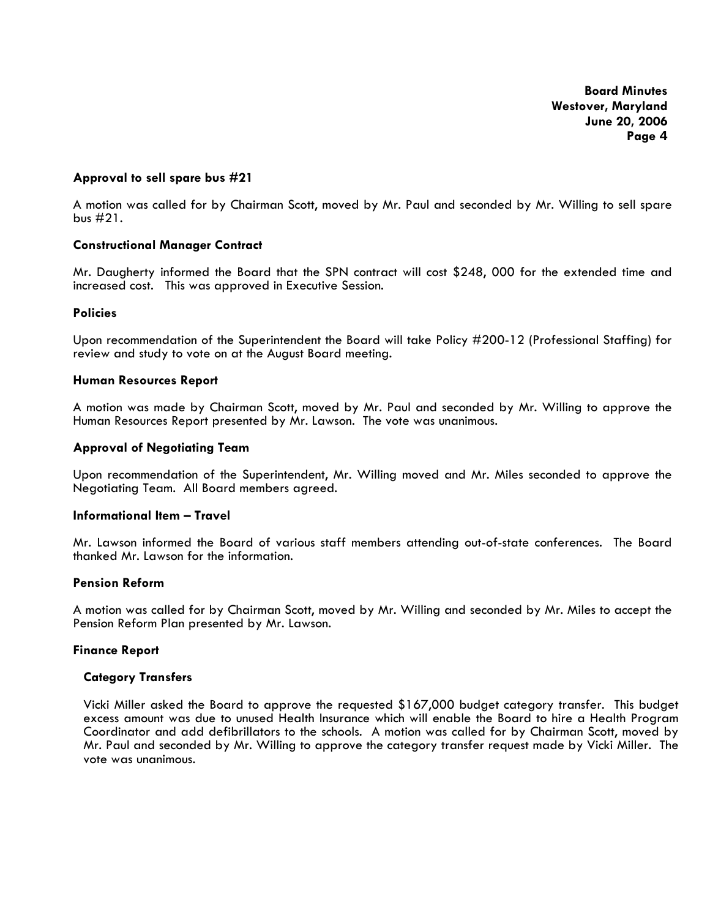# **Approval to sell spare bus #21**

 A motion was called for by Chairman Scott, moved by Mr. Paul and seconded by Mr. Willing to sell spare bus #21.

# **Constructional Manager Contract**

Mr. Daugherty informed the Board that the SPN contract will cost \$248, 000 for the extended time and increased cost. This was approved in Executive Session.

# **Policies**

 Upon recommendation of the Superintendent the Board will take Policy #200-12 (Professional Staffing) for review and study to vote on at the August Board meeting.

### **Human Resources Report**

A motion was made by Chairman Scott, moved by Mr. Paul and seconded by Mr. Willing to approve the Human Resources Report presented by Mr. Lawson. The vote was unanimous.

### **Approval of Negotiating Team**

 Upon recommendation of the Superintendent, Mr. Willing moved and Mr. Miles seconded to approve the Negotiating Team. All Board members agreed.

# **Informational Item – Travel**

Mr. Lawson informed the Board of various staff members attending out-of-state conferences. The Board thanked Mr. Lawson for the information.

# **Pension Reform**

A motion was called for by Chairman Scott, moved by Mr. Willing and seconded by Mr. Miles to accept the Pension Reform Plan presented by Mr. Lawson.

### **Finance Report**

# **Category Transfers**

Vicki Miller asked the Board to approve the requested \$167,000 budget category transfer. This budget excess amount was due to unused Health Insurance which will enable the Board to hire a Health Program Coordinator and add defibrillators to the schools. A motion was called for by Chairman Scott, moved by Mr. Paul and seconded by Mr. Willing to approve the category transfer request made by Vicki Miller. The vote was unanimous.